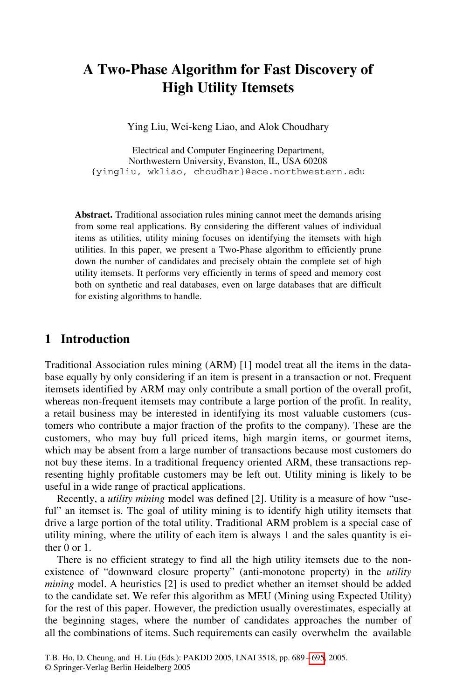# **A Two-Phase Algorithm for Fast Discovery of High Utility Itemsets**

Ying Liu, Wei-keng Liao, and Alok Choudhary

Electrical and Computer Engineering Department, Northwestern University, Evanston, IL, USA 60208 {yingliu, wkliao, choudhar}@ece.northwestern.edu

**Abstract.** Traditional association rules mining cannot meet the demands arising from some real applications. By considering the different values of individual items as utilities, utility mining focuses on identifying the itemsets with high utilities. In this paper, we present a Two-Phase algorithm to efficiently prune down the number of candidates and precisely obtain the complete set of high utility itemsets. It performs very efficiently in terms of speed and memory cost both on synthetic and real databases, even on large databases that are difficult for existing algorithms to handle.

### **1 Introduction**

Traditional Association rules mining (ARM) [1] model treat all the items in the database equally by only considering if an item is present in a transaction or not. Frequent itemsets identified by ARM may only contribute a small portion of the overall profit, whereas non-frequent itemsets may contribute a large portion of the profit. In reality, a retail business may be interested in identifying its most valuable customers (customers who contribute a major fraction of the profits to the company). These are the customers, who may buy full priced items, high margin items, or gourmet items, which may be absent from a large number of transactions because most customers do not buy these items. In a traditional frequency oriented ARM, these transactions representing highly profitable customers may be left out. Utility mining is likely to be useful in a wide range of practical applications.

Recently, a *utility mining* model was defined [2]. Utility is a measure of how "useful" an itemset is. The goal of utility mining is to identify high utility itemsets that drive a large portion of the total utility. Traditional ARM problem is a special case of utility mining, where the utility of each item is always 1 and the sales quantity is either 0 or 1.

There is no efficient strategy to find all the high utility itemsets due to the nonexistence of "downward closure property" (anti-monotone property) in the *utility mining* model. A heuristics [2] is used to predict whether an itemset should be added to the candidate set. We refer this algorithm as MEU (Mining using Expected Utility) for the rest of this paper. However, the prediction usually overestimates, especially at the beginning stages, where the number of candidates approaches the number of all the combinations of items. Such requirements can easily overwhelm the available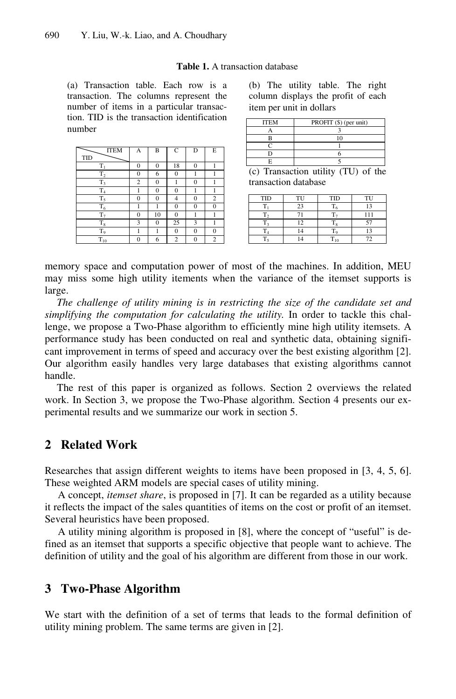#### **Table 1.** A transaction database

(a) Transaction table. Each row is a transaction. The columns represent the number of items in a particular transaction. TID is the transaction identification number

| <b>ITEM</b>    | A              | B              | $\mathsf{C}$ | D            | E              |
|----------------|----------------|----------------|--------------|--------------|----------------|
| <b>TID</b>     |                |                |              |              |                |
| $T_1$          | $\bf{0}$       | $\overline{0}$ | 18           | $\Omega$     |                |
| T <sub>2</sub> | $\bf{0}$       | 6              | $\mathbf{0}$ |              |                |
| $T_3$          | $\overline{c}$ | $\mathbf{0}$   |              | $\mathbf{0}$ |                |
| T <sub>4</sub> |                | $\overline{0}$ | $\Omega$     |              |                |
| $T_5$          | $\bf{0}$       | $\overline{0}$ | 4            | $\Omega$     | $\overline{c}$ |
| $T_6$          | 1              |                | $\mathbf{0}$ | $\mathbf{0}$ | 0              |
| $T_7$          | $\bf{0}$       | 10             | $\Omega$     |              |                |
| $T_8$          | 3              | $\overline{0}$ | 25           | 3            |                |
| $T_{9}$        |                |                | $\mathbf{0}$ | $\Omega$     |                |
| $T_{10}$       | $\bf{0}$       | 6              | 2            | 0            | $\overline{c}$ |

|  | (b) The utility table. The right   |  |  |
|--|------------------------------------|--|--|
|  | column displays the profit of each |  |  |
|  | item per unit in dollars           |  |  |

| <b>ITEM</b>           | PROFIT (\$) (per unit)                                          |  |  |  |
|-----------------------|-----------------------------------------------------------------|--|--|--|
|                       |                                                                 |  |  |  |
|                       | ١O                                                              |  |  |  |
|                       |                                                                 |  |  |  |
|                       |                                                                 |  |  |  |
|                       |                                                                 |  |  |  |
| $\sim$<br>$\sim$<br>_ | $\sim$ $\sim$ $\sim$<br>$\sim$<br>٠<br>$\overline{\phantom{a}}$ |  |  |  |

(c) Transaction utility (TU) of the transaction database

| TID | TH | <b>TID</b>              | TU |
|-----|----|-------------------------|----|
|     | 23 |                         | 13 |
|     |    |                         |    |
|     | 12 | $\overline{\mathbf{x}}$ |    |
|     |    | L a                     |    |
|     |    | ıп                      | 72 |

memory space and computation power of most of the machines. In addition, MEU may miss some high utility itements when the variance of the itemset supports is large.

*The challenge of utility mining is in restricting the size of the candidate set and simplifying the computation for calculating the utility*. In order to tackle this challenge, we propose a Two-Phase algorithm to efficiently mine high utility itemsets. A performance study has been conducted on real and synthetic data, obtaining significant improvement in terms of speed and accuracy over the best existing algorithm [2]. Our algorithm easily handles very large databases that existing algorithms cannot handle.

The rest of this paper is organized as follows. Section 2 overviews the related work. In Section 3, we propose the Two-Phase algorithm. Section 4 presents our experimental results and we summarize our work in section 5.

### **2 Related Work**

Researches that assign different weights to items have been proposed in [3, 4, 5, 6]. These weighted ARM models are special cases of utility mining.

A concept, *itemset share*, is proposed in [7]. It can be regarded as a utility because it reflects the impact of the sales quantities of items on the cost or profit of an itemset. Several heuristics have been proposed.

A utility mining algorithm is proposed in [8], where the concept of "useful" is defined as an itemset that supports a specific objective that people want to achieve. The definition of utility and the goal of his algorithm are different from those in our work.

### **3 Two-Phase Algorithm**

We start with the definition of a set of terms that leads to the formal definition of utility mining problem. The same terms are given in [2].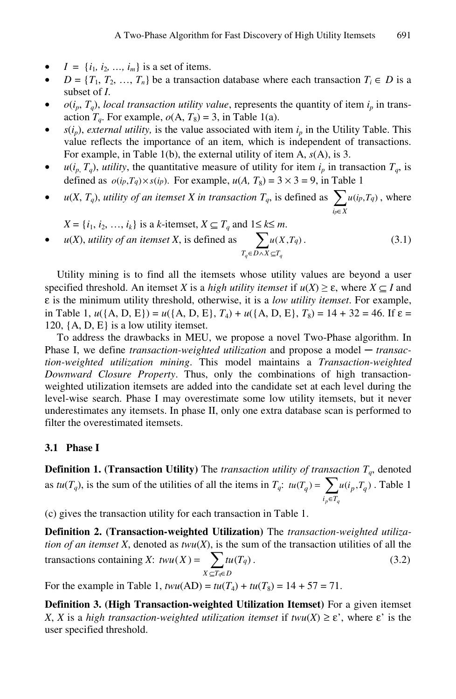- $I = \{i_1, i_2, ..., i_m\}$  is a set of items.
- $D = \{T_1, T_2, ..., T_n\}$  be a transaction database where each transaction  $T_i \in D$  is a subset of *I*.
- $o(i_p, T_q)$ , *local transaction utility value*, represents the quantity of item  $i_p$  in transaction  $T_q$ . For example,  $o(A, T_8) = 3$ , in Table 1(a).
- $s(i_p)$ , *external utility*, is the value associated with item  $i_p$  in the Utility Table. This value reflects the importance of an item, which is independent of transactions. For example, in Table 1(b), the external utility of item A, *s*(A), is 3.
- $u(i_p, T_q)$ , *utility*, the quantitative measure of utility for item  $i_p$  in transaction  $T_q$ , is defined as  $o(i_p, T_q) \times s(i_p)$ . For example,  $u(A, T_8) = 3 \times 3 = 9$ , in Table 1
- *u*(*X*, *T<sub>q</sub>*), *utility of an itemset X in transaction T<sub>q</sub>*, is defined as  $\sum_{i \in X}$ *p q p*  $u(i_p, T_q)$ , where

$$
X = \{i_1, i_2, \ldots, i_k\}
$$
 is a *k*-itemset,  $X \subseteq T_q$  and  $1 \le k \le m$ .

• *u*(*X*), *utility of an itemset X*, is defined as  $\sum$ *Tq*∈*D*∧*X* ⊆*Tq*  $u(X, T_q)$ . (3.1)

Utility mining is to find all the itemsets whose utility values are beyond a user specified threshold. An itemset *X* is a *high utility itemset* if  $u(X) \ge \varepsilon$ , where  $X \subseteq I$  and ε is the minimum utility threshold, otherwise, it is a *low utility itemset*. For example, in Table 1,  $u({A, D, E}) = u({A, D, E}, T_4) + u({A, D, E}, T_8) = 14 + 32 = 46$ . If  $\varepsilon$ 120,  $\{A, D, E\}$  is a low utility itemset.

To address the drawbacks in MEU, we propose a novel Two-Phase algorithm. In Phase I, we define *transaction-weighted utilization* and propose a model — *transaction-weighted utilization mining*. This model maintains a *Transaction-weighted Downward Closure Property*. Thus, only the combinations of high transactionweighted utilization itemsets are added into the candidate set at each level during the level-wise search. Phase I may overestimate some low utility itemsets, but it never underestimates any itemsets. In phase II, only one extra database scan is performed to filter the overestimated itemsets.

#### **3.1 Phase I**

**Definition 1. (Transaction Utility)** The *transaction utility of transaction*  $T_q$ , denoted as  $tu(T_q)$ , is the sum of the utilities of all the items in  $T_q$ :  $tu(T_q) = \sum_{i_p \in T_q}$ =  $i_p \in T_q$  $\mu(T_q) = \sum u(i_p, T_q)$ . Table 1

(c) gives the transaction utility for each transaction in Table 1.

**Definition 2. (Transaction-weighted Utilization)** The *transaction-weighted utilization of an itemset*  $X$ , denoted as  $t w u(X)$ , is the sum of the transaction utilities of all the transactions containing *X*:  $t w u(X) = \sum_{X \subseteq T_{q} \in \mathcal{C}}$ =  $X \subseteq T_q \in D$ *q q*  $twu(X) = \sum_{i=1}^{n} tu(T_q).$  (3.2)

For the example in Table 1,  $twu(AD) = tu(T_4) + tu(T_8) = 14 + 57 = 71$ .

**Definition 3. (High Transaction-weighted Utilization Itemset)** For a given itemset *X*, *X* is a *high transaction-weighted utilization itemset if*  $t w u(X) \ge \epsilon$ *, where*  $\epsilon$  *is the* user specified threshold.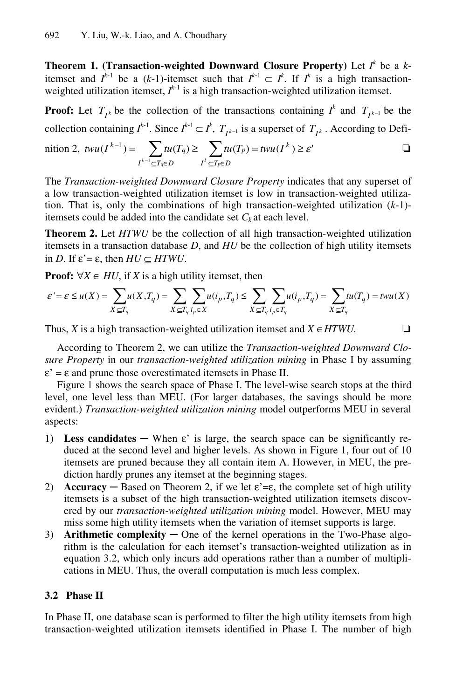**Theorem 1. (Transaction-weighted Downward Closure Property)** Let *I k* be a *k*itemset and  $I^{k-1}$  be a (*k*-1)-itemset such that  $I^{k-1} \subset I^k$ . If  $I^k$  is a high transactionweighted utilization itemset,  $I^{k-1}$  is a high transaction-weighted utilization itemset.

**Proof:** Let  $T_{i^k}$  be the collection of the transactions containing  $I^k$  and  $T_{i^{k-1}}$  be the collection containing  $I^{k-1}$ . Since  $I^{k-1} \subset I^k$ ,  $T_{I^{k-1}}$  is a superset of  $T_{I^k}$ . According to Defi-

$$
\text{ntion 2, } \ t w u(I^{k-1}) = \sum_{I^{k-1} \subseteq T_q \in D} t u(T_q) \ge \sum_{I^k \subseteq T_p \in D} t u(T_p) = t w u(I^k) \ge \varepsilon' \qquad \qquad \Box
$$

The *Transaction-weighted Downward Closure Property* indicates that any superset of a low transaction-weighted utilization itemset is low in transaction-weighted utilization. That is, only the combinations of high transaction-weighted utilization (*k*-1) itemsets could be added into the candidate set  $C_k$  at each level.

**Theorem 2.** Let *HTWU* be the collection of all high transaction-weighted utilization itemsets in a transaction database *D*, and *HU* be the collection of high utility itemsets in *D*. If  $\varepsilon' = \varepsilon$ , then  $HU \subseteq HTWU$ .

**Proof:** ∀*X* ∈ *HU*, if *X* is a high utility itemset, then

$$
\varepsilon^{\cdot} = \varepsilon \leq u(X) = \sum_{X \subseteq T_q} \hspace{-0.2cm} u(X,T_q) = \sum_{X \subseteq T_q} \sum_{i_p \in X} \hspace{-0.2cm} u(i_p,T_q) \leq \sum_{X \subseteq T_q} \sum_{i_p \in T_q} \hspace{-0.2cm} u(i_p,T_q) = \sum_{X \subseteq T_q} \hspace{-0.2cm} tu(T_q) = twu(X)
$$

Thus, *X* is a high transaction-weighted utilization itemset and  $X \in HTWU$ .  $\Box$ 

According to Theorem 2, we can utilize the *Transaction-weighted Downward Closure Property* in our *transaction-weighted utilization mining* in Phase I by assuming  $\varepsilon' = \varepsilon$  and prune those overestimated itemsets in Phase II.

Figure 1 shows the search space of Phase I. The level-wise search stops at the third level, one level less than MEU. (For larger databases, the savings should be more evident.) *Transaction-weighted utilization mining* model outperforms MEU in several aspects:

- 1) **Less candidates** When  $\varepsilon$ ' is large, the search space can be significantly reduced at the second level and higher levels. As shown in Figure 1, four out of 10 itemsets are pruned because they all contain item A. However, in MEU, the prediction hardly prunes any itemset at the beginning stages.
- 2) **Accuracy** Based on Theorem 2, if we let  $\varepsilon = \varepsilon$ , the complete set of high utility itemsets is a subset of the high transaction-weighted utilization itemsets discovered by our *transaction-weighted utilization mining* model. However, MEU may miss some high utility itemsets when the variation of itemset supports is large.
- 3) **Arithmetic complexity** One of the kernel operations in the Two-Phase algorithm is the calculation for each itemset's transaction-weighted utilization as in equation 3.2, which only incurs add operations rather than a number of multiplications in MEU. Thus, the overall computation is much less complex.

#### **3.2 Phase II**

In Phase II, one database scan is performed to filter the high utility itemsets from high transaction-weighted utilization itemsets identified in Phase I. The number of high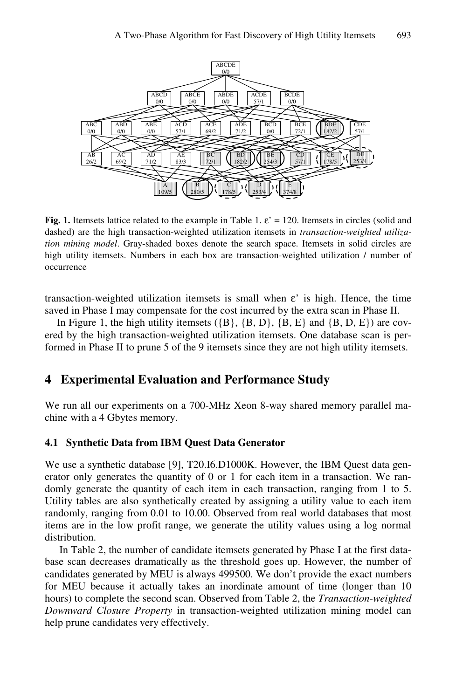

**Fig. 1.** Itemsets lattice related to the example in Table 1.  $\varepsilon' = 120$ . Itemsets in circles (solid and dashed) are the high transaction-weighted utilization itemsets in *transaction*-*weighted utilization mining model*. Gray-shaded boxes denote the search space. Itemsets in solid circles are high utility itemsets. Numbers in each box are transaction-weighted utilization / number of occurrence

transaction-weighted utilization itemsets is small when  $\varepsilon$ ' is high. Hence, the time saved in Phase I may compensate for the cost incurred by the extra scan in Phase II.

In Figure 1, the high utility itemsets  $({B}, {B}, D, {B}, E$  and  ${B}, D, E$ ) are covered by the high transaction-weighted utilization itemsets. One database scan is performed in Phase II to prune 5 of the 9 itemsets since they are not high utility itemsets.

## **4 Experimental Evaluation and Performance Study**

We run all our experiments on a 700-MHz Xeon 8-way shared memory parallel machine with a 4 Gbytes memory.

#### **4.1 Synthetic Data from IBM Quest Data Generator**

We use a synthetic database [9], T20.I6.D1000K. However, the IBM Quest data generator only generates the quantity of 0 or 1 for each item in a transaction. We randomly generate the quantity of each item in each transaction, ranging from 1 to 5. Utility tables are also synthetically created by assigning a utility value to each item randomly, ranging from 0.01 to 10.00. Observed from real world databases that most items are in the low profit range, we generate the utility values using a log normal distribution.

In Table 2, the number of candidate itemsets generated by Phase I at the first database scan decreases dramatically as the threshold goes up. However, the number of candidates generated by MEU is always 499500. We don't provide the exact numbers for MEU because it actually takes an inordinate amount of time (longer than 10 hours) to complete the second scan. Observed from Table 2, the *Transaction-weighted Downward Closure Property* in transaction-weighted utilization mining model can help prune candidates very effectively.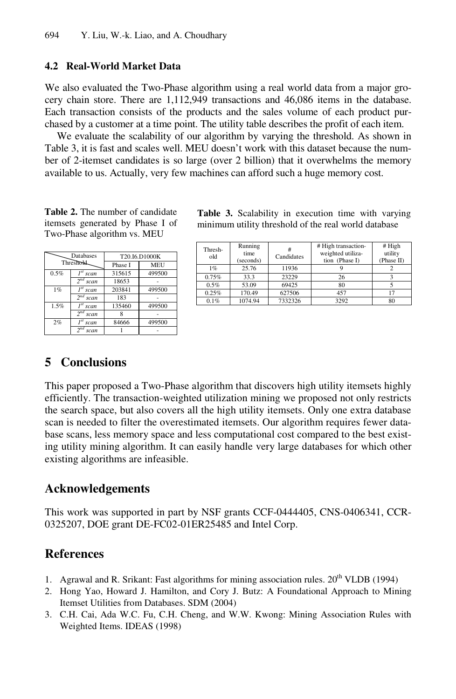#### **4.2 Real-World Market Data**

We also evaluated the Two-Phase algorithm using a real world data from a major grocery chain store. There are 1,112,949 transactions and 46,086 items in the database. Each transaction consists of the products and the sales volume of each product purchased by a customer at a time point. The utility table describes the profit of each item.

We evaluate the scalability of our algorithm by varying the threshold. As shown in Table 3, it is fast and scales well. MEU doesn't work with this dataset because the number of 2-itemset candidates is so large (over 2 billion) that it overwhelms the memory available to us. Actually, very few machines can afford such a huge memory cost.

**Table 2.** The number of candidate itemsets generated by Phase I of Two-Phase algorithm vs. MEU

| Databases<br>Threshold |                          | T20.I6.D1000K |            |  |
|------------------------|--------------------------|---------------|------------|--|
|                        |                          | Phase I       | <b>MEU</b> |  |
| 0.5%                   | I <sup>st</sup> scan     | 315615        | 499500     |  |
|                        | $\overline{2}^{nd}$ scan | 18653         |            |  |
| 1%                     | I <sup>st</sup> scan     | 203841        | 499500     |  |
|                        | $2^{nd}$ scan            | 183           |            |  |
| 1.5%                   | I <sup>st</sup> scan     | 135460        | 499500     |  |
|                        | 2 <sup>nd</sup> scan     |               |            |  |
| 2%                     | l <sup>st</sup> scan     | 84666         | 499500     |  |
|                        | 2nd<br>scan              |               |            |  |

**Table 3.** Scalability in execution time with varying minimum utility threshold of the real world database

| Thresh-<br>old | Running<br>time<br>(seconds) | #<br>Candidates | # High transaction-<br>weighted utiliza-<br>tion (Phase I) | # High<br>utility<br>(Phase II) |
|----------------|------------------------------|-----------------|------------------------------------------------------------|---------------------------------|
| 1%             | 25.76                        | 11936           |                                                            |                                 |
| 0.75%          | 33.3                         | 23229           | 26                                                         |                                 |
| 0.5%           | 53.09                        | 69425           | 80                                                         |                                 |
| 0.25%          | 170.49                       | 627506          | 457                                                        | 17                              |
| 0.1%           | 1074.94                      | 7332326         | 3292                                                       | 80                              |

## **5 Conclusions**

This paper proposed a Two-Phase algorithm that discovers high utility itemsets highly efficiently. The transaction-weighted utilization mining we proposed not only restricts the search space, but also covers all the high utility itemsets. Only one extra database scan is needed to filter the overestimated itemsets. Our algorithm requires fewer database scans, less memory space and less computational cost compared to the best existing utility mining algorithm. It can easily handle very large databases for which other existing algorithms are infeasible.

#### **Acknowledgements**

This work was supported in part by NSF grants CCF-0444405, CNS-0406341, CCR-0325207, DOE grant DE-FC02-01ER25485 and Intel Corp.

### **References**

- 1. Agrawal and R. Srikant: Fast algorithms for mining association rules.  $20^{th}$  VLDB (1994)
- 2. Hong Yao, Howard J. Hamilton, and Cory J. Butz: A Foundational Approach to Mining Itemset Utilities from Databases. SDM (2004)
- 3. C.H. Cai, Ada W.C. Fu, C.H. Cheng, and W.W. Kwong: Mining Association Rules with Weighted Items. IDEAS (1998)